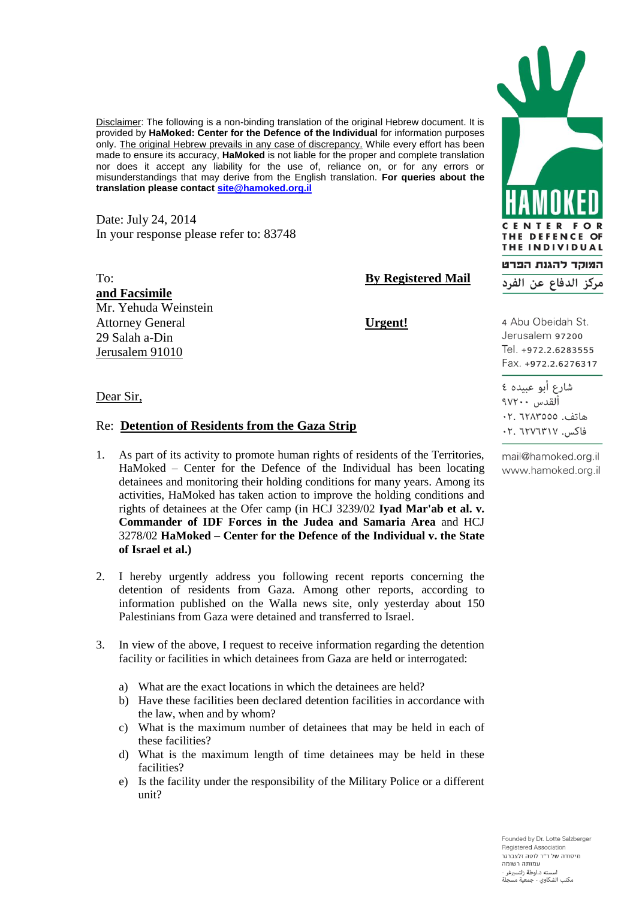Disclaimer: The following is a non-binding translation of the original Hebrew document. It is provided by **HaMoked: Center for the Defence of the Individual** for information purposes only. The original Hebrew prevails in any case of discrepancy. While every effort has been made to ensure its accuracy, **HaMoked** is not liable for the proper and complete translation nor does it accept any liability for the use of, reliance on, or for any errors or misunderstandings that may derive from the English translation. **For queries about the translation please contac[t site@hamoked.org.il](mailto:site@hamoked.org.il)**

Date: July 24, 2014 In your response please refer to: 83748

To: **By Registered Mail** 

**and Facsimile** Mr. Yehuda Weinstein Attorney General **Urgent!** 29 Salah a-Din Jerusalem 91010

Dear Sir,

## Re: **Detention of Residents from the Gaza Strip**

- 1. As part of its activity to promote human rights of residents of the Territories, HaMoked – Center for the Defence of the Individual has been locating detainees and monitoring their holding conditions for many years. Among its activities, HaMoked has taken action to improve the holding conditions and rights of detainees at the Ofer camp (in HCJ 3239/02 **Iyad Mar'ab et al. v. Commander of IDF Forces in the Judea and Samaria Area** and HCJ 3278/02 **HaMoked – Center for the Defence of the Individual v. the State of Israel et al.)**
- 2. I hereby urgently address you following recent reports concerning the detention of residents from Gaza. Among other reports, according to information published on the Walla news site, only yesterday about 150 Palestinians from Gaza were detained and transferred to Israel.
- 3. In view of the above, I request to receive information regarding the detention facility or facilities in which detainees from Gaza are held or interrogated:
	- a) What are the exact locations in which the detainees are held?
	- b) Have these facilities been declared detention facilities in accordance with the law, when and by whom?
	- c) What is the maximum number of detainees that may be held in each of these facilities?
	- d) What is the maximum length of time detainees may be held in these facilities?
	- e) Is the facility under the responsibility of the Military Police or a different unit?



Jerusalem 97200 Tel. +972.2.6283555 Fax. +972.2.6276317

شارع أبو عبيده ٤ ألقدس ٢٧٢٠٠ هاتف. ٦٢٨٣٥٥٥. فاكس. ٢٠٧٦٣١٧. ٢٠

mail@hamoked.org.il www.hamoked.org.il

Founded by Dr. Lotte Salzberger Registered Association .<br>תיסודה של ד"ר לוטה זלצררגר .<br>עמותה רשומה مته د.لوطة زلتسبرغر مكتب الشكاوي - جمعية مسجلة